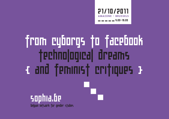

# from cyborgs to facebook Technological dreams { and feminist critiques } sophia.be

belgian network for gender studies